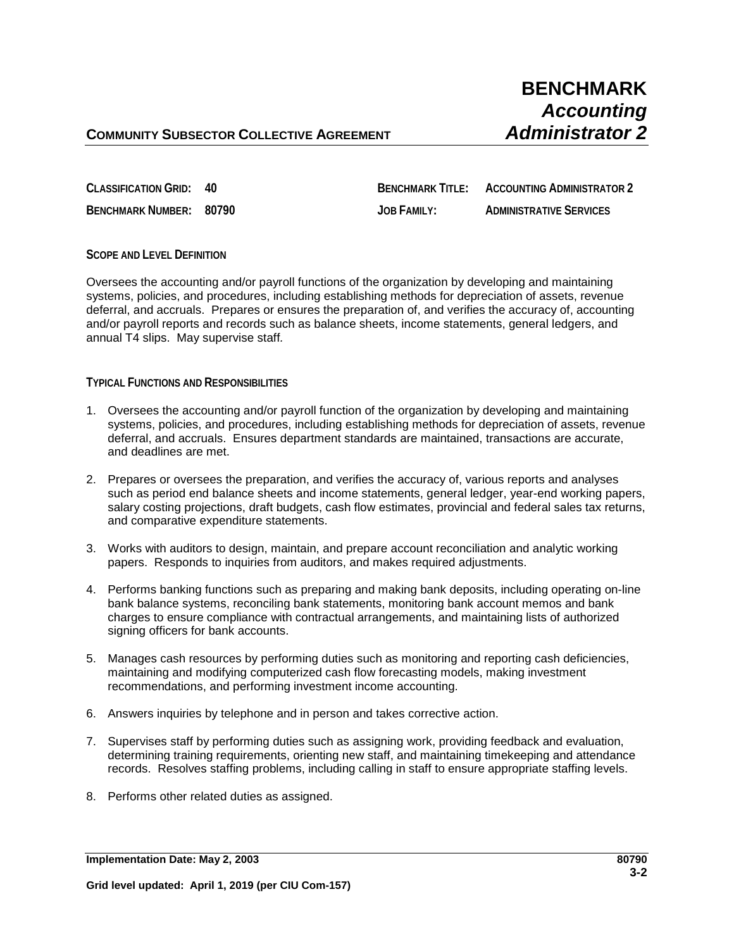**CLASSIFICATION GRID: 40 BENCHMARK TITLE: ACCOUNTING ADMINISTRATOR 2**

**BENCHMARK NUMBER: 80790 JOB FAMILY: ADMINISTRATIVE SERVICES**

**SCOPE AND LEVEL DEFINITION**

Oversees the accounting and/or payroll functions of the organization by developing and maintaining systems, policies, and procedures, including establishing methods for depreciation of assets, revenue deferral, and accruals. Prepares or ensures the preparation of, and verifies the accuracy of, accounting and/or payroll reports and records such as balance sheets, income statements, general ledgers, and annual T4 slips. May supervise staff*.*

## **TYPICAL FUNCTIONS AND RESPONSIBILITIES**

- 1. Oversees the accounting and/or payroll function of the organization by developing and maintaining systems, policies, and procedures, including establishing methods for depreciation of assets, revenue deferral, and accruals. Ensures department standards are maintained, transactions are accurate, and deadlines are met.
- 2. Prepares or oversees the preparation, and verifies the accuracy of, various reports and analyses such as period end balance sheets and income statements, general ledger, year-end working papers, salary costing projections, draft budgets, cash flow estimates, provincial and federal sales tax returns, and comparative expenditure statements.
- 3. Works with auditors to design, maintain, and prepare account reconciliation and analytic working papers. Responds to inquiries from auditors, and makes required adjustments.
- 4. Performs banking functions such as preparing and making bank deposits, including operating on-line bank balance systems, reconciling bank statements, monitoring bank account memos and bank charges to ensure compliance with contractual arrangements, and maintaining lists of authorized signing officers for bank accounts.
- 5. Manages cash resources by performing duties such as monitoring and reporting cash deficiencies, maintaining and modifying computerized cash flow forecasting models, making investment recommendations, and performing investment income accounting.
- 6. Answers inquiries by telephone and in person and takes corrective action.
- 7. Supervises staff by performing duties such as assigning work, providing feedback and evaluation, determining training requirements, orienting new staff, and maintaining timekeeping and attendance records. Resolves staffing problems, including calling in staff to ensure appropriate staffing levels.
- 8. Performs other related duties as assigned.